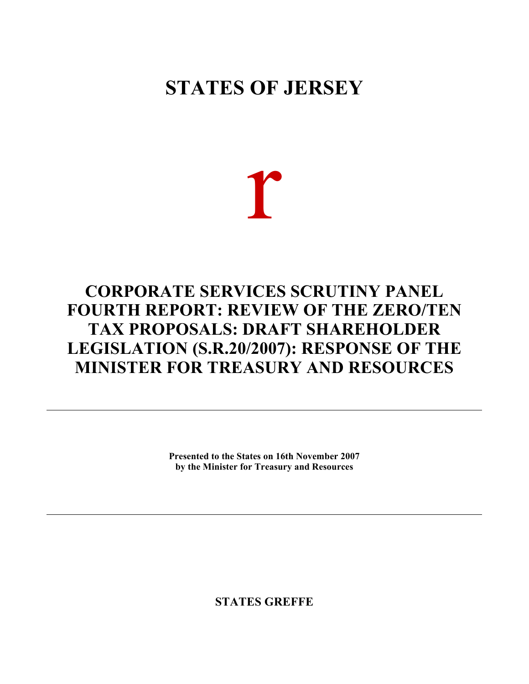# **STATES OF JERSEY**

r

# **CORPORATE SERVICES SCRUTINY PANEL FOURTH REPORT: REVIEW OF THE ZERO/TEN TAX PROPOSALS: DRAFT SHAREHOLDER LEGISLATION (S.R.20/2007): RESPONSE OF THE MINISTER FOR TREASURY AND RESOURCES**

**Presented to the States on 16th November 2007 by the Minister for Treasury and Resources**

**STATES GREFFE**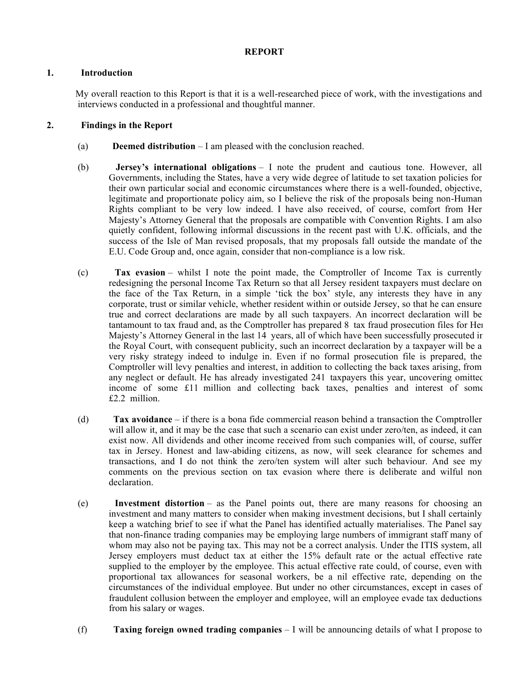## **REPORT**

## **1. Introduction**

 My overall reaction to this Report is that it is a well-researched piece of work, with the investigations and interviews conducted in a professional and thoughtful manner.

### **2. Findings in the Report**

- (a) **Deemed distribution** I am pleased with the conclusion reached.
- (b) **Jersey's international obligations** I note the prudent and cautious tone. However, all Governments, including the States, have a very wide degree of latitude to set taxation policies for their own particular social and economic circumstances where there is a well-founded, objective, legitimate and proportionate policy aim, so I believe the risk of the proposals being non-Human Rights compliant to be very low indeed. I have also received, of course, comfort from Her Majesty's Attorney General that the proposals are compatible with Convention Rights. I am also quietly confident, following informal discussions in the recent past with U.K. officials, and the success of the Isle of Man revised proposals, that my proposals fall outside the mandate of the E.U. Code Group and, once again, consider that non-compliance is a low risk.
- (c) **Tax evasion** whilst I note the point made, the Comptroller of Income Tax is currently redesigning the personal Income Tax Return so that all Jersey resident taxpayers must declare on the face of the Tax Return, in a simple 'tick the box' style, any interests they have in any corporate, trust or similar vehicle, whether resident within or outside Jersey, so that he can ensure true and correct declarations are made by all such taxpayers. An incorrect declaration will be tantamount to tax fraud and, as the Comptroller has prepared 8 tax fraud prosecution files for Her Majesty's Attorney General in the last 14 years, all of which have been successfully prosecuted in the Royal Court, with consequent publicity, such an incorrect declaration by a taxpayer will be a very risky strategy indeed to indulge in. Even if no formal prosecution file is prepared, the Comptroller will levy penalties and interest, in addition to collecting the back taxes arising, from any neglect or default. He has already investigated 241 taxpayers this year, uncovering omitted income of some £11 million and collecting back taxes, penalties and interest of some £2.2 million.
- (d) **Tax avoidance** if there is a bona fide commercial reason behind a transaction the Comptroller will allow it, and it may be the case that such a scenario can exist under zero/ten, as indeed, it can exist now. All dividends and other income received from such companies will, of course, suffer tax in Jersey. Honest and law-abiding citizens, as now, will seek clearance for schemes and transactions, and I do not think the zero/ten system will alter such behaviour. And see my comments on the previous section on tax evasion where there is deliberate and wilful non declaration.
- (e) **Investment distortion** as the Panel points out, there are many reasons for choosing an investment and many matters to consider when making investment decisions, but I shall certainly keep a watching brief to see if what the Panel has identified actually materialises. The Panel say that non-finance trading companies may be employing large numbers of immigrant staff many of whom may also not be paying tax. This may not be a correct analysis. Under the ITIS system, all Jersey employers must deduct tax at either the 15% default rate or the actual effective rate supplied to the employer by the employee. This actual effective rate could, of course, even with proportional tax allowances for seasonal workers, be a nil effective rate, depending on the circumstances of the individual employee. But under no other circumstances, except in cases of fraudulent collusion between the employer and employee, will an employee evade tax deductions from his salary or wages.
- (f) **Taxing foreign owned trading companies** I will be announcing details of what I propose to